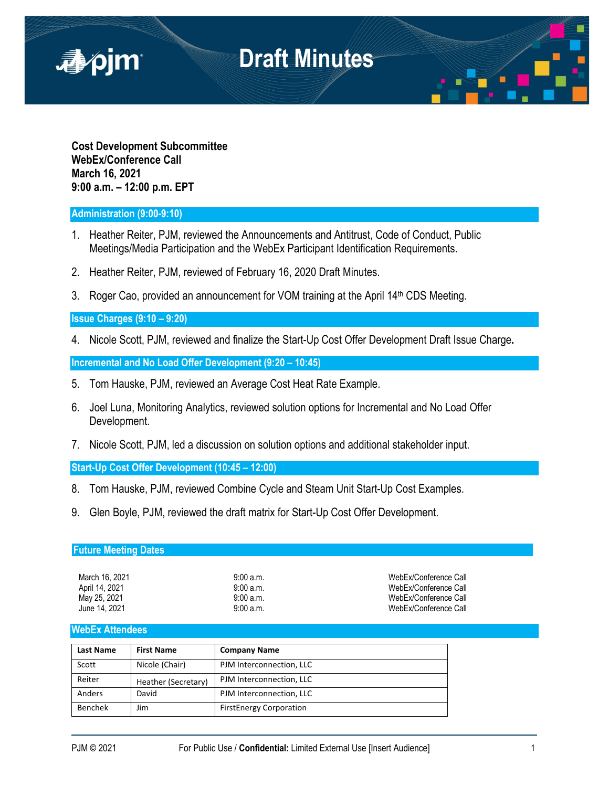

**Cost Development Subcommittee WebEx/Conference Call March 16, 2021 9:00 a.m. – 12:00 p.m. EPT**

## **Administration (9:00-9:10)**

- 1. Heather Reiter, PJM, reviewed the Announcements and Antitrust, Code of Conduct, Public Meetings/Media Participation and the WebEx Participant Identification Requirements.
- 2. Heather Reiter, PJM, reviewed of February 16, 2020 Draft Minutes.
- 3. Roger Cao, provided an announcement for VOM training at the April 14<sup>th</sup> CDS Meeting.

### **Issue Charges (9:10 – 9:20)**

4. Nicole Scott, PJM, reviewed and finalize the Start-Up Cost Offer Development Draft Issue Charge**.**

**Incremental and No Load Offer Development (9:20 – 10:45)**

- 5. Tom Hauske, PJM, reviewed an Average Cost Heat Rate Example.
- 6. Joel Luna, Monitoring Analytics, reviewed solution options for Incremental and No Load Offer Development.
- 7. Nicole Scott, PJM, led a discussion on solution options and additional stakeholder input.

**Start-Up Cost Offer Development (10:45 – 12:00)**

- 8. Tom Hauske, PJM, reviewed Combine Cycle and Steam Unit Start-Up Cost Examples.
- 9. Glen Boyle, PJM, reviewed the draft matrix for Start-Up Cost Offer Development.

## **Future Meeting Dates**

| March 16, 2021 |
|----------------|
| April 14, 2021 |
| May 25, 2021   |
| June 14. 2021  |

9:00 a.m. **March 2021** 9:00 a.m. WebEx/Conference Call 9:00 a.m. **April 14, 2021 14, 2021 14, 2021 14, 2021 14, 2021 14, 2021 14, 2021 14, 2021 14, 2021 14, 2021** May 25, 2021 9:00 a.m. WebEx/Conference Call WebEx/Conference Call

#### **WebEx Attendees**

| Last Name | <b>First Name</b>   | <b>Company Name</b>            |
|-----------|---------------------|--------------------------------|
| Scott     | Nicole (Chair)      | PJM Interconnection, LLC       |
| Reiter    | Heather (Secretary) | PJM Interconnection, LLC       |
| Anders    | David               | PJM Interconnection, LLC       |
| Benchek   | Jim                 | <b>FirstEnergy Corporation</b> |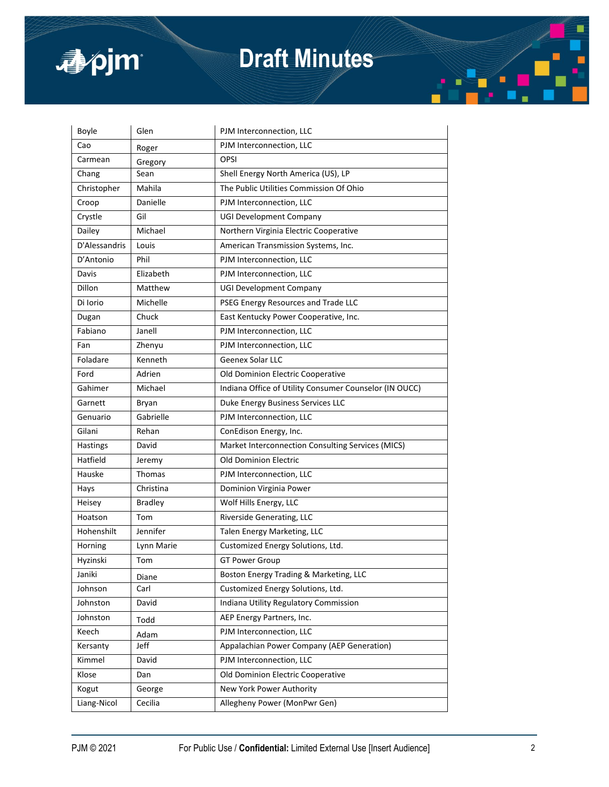

# **Draft Minutes**

| Boyle         | Glen           | PJM Interconnection, LLC                               |
|---------------|----------------|--------------------------------------------------------|
| Cao           | Roger          | PJM Interconnection, LLC                               |
| Carmean       | Gregory        | OPSI                                                   |
| Chang         | Sean           | Shell Energy North America (US), LP                    |
| Christopher   | Mahila         | The Public Utilities Commission Of Ohio                |
| Croop         | Danielle       | PJM Interconnection, LLC                               |
| Crystle       | Gil            | <b>UGI Development Company</b>                         |
| Dailey        | Michael        | Northern Virginia Electric Cooperative                 |
| D'Alessandris | Louis          | American Transmission Systems, Inc.                    |
| D'Antonio     | Phil           | PJM Interconnection, LLC                               |
| Davis         | Elizabeth      | PJM Interconnection, LLC                               |
| Dillon        | Matthew        | <b>UGI Development Company</b>                         |
| Di Iorio      | Michelle       | PSEG Energy Resources and Trade LLC                    |
| Dugan         | Chuck          | East Kentucky Power Cooperative, Inc.                  |
| Fabiano       | Janell         | PJM Interconnection, LLC                               |
| Fan           | Zhenyu         | PJM Interconnection, LLC                               |
| Foladare      | Kenneth        | <b>Geenex Solar LLC</b>                                |
| Ford          | Adrien         | Old Dominion Electric Cooperative                      |
| Gahimer       | Michael        | Indiana Office of Utility Consumer Counselor (IN OUCC) |
| Garnett       | Bryan          | Duke Energy Business Services LLC                      |
| Genuario      | Gabrielle      | PJM Interconnection, LLC                               |
| Gilani        | Rehan          | ConEdison Energy, Inc.                                 |
| Hastings      | David          | Market Interconnection Consulting Services (MICS)      |
| Hatfield      | Jeremy         | <b>Old Dominion Electric</b>                           |
| Hauske        | Thomas         | PJM Interconnection, LLC                               |
| Hays          | Christina      | Dominion Virginia Power                                |
| Heisey        | <b>Bradley</b> | Wolf Hills Energy, LLC                                 |
| Hoatson       | Tom            | Riverside Generating, LLC                              |
| Hohenshilt    | Jennifer       | Talen Energy Marketing, LLC                            |
| Horning       | Lynn Marie     | Customized Energy Solutions, Ltd.                      |
| Hyzinski      | Tom            | <b>GT Power Group</b>                                  |
| Janiki        | Diane          | Boston Energy Trading & Marketing, LLC                 |
| Johnson       | Carl           | Customized Energy Solutions, Ltd.                      |
| Johnston      | David          | Indiana Utility Regulatory Commission                  |
| Johnston      | Todd           | AEP Energy Partners, Inc.                              |
| Keech         | Adam           | PJM Interconnection, LLC                               |
| Kersanty      | Jeff           | Appalachian Power Company (AEP Generation)             |
| Kimmel        | David          | PJM Interconnection, LLC                               |
| Klose         | Dan            | Old Dominion Electric Cooperative                      |
| Kogut         | George         | New York Power Authority                               |
| Liang-Nicol   | Cecilia        | Allegheny Power (MonPwr Gen)                           |